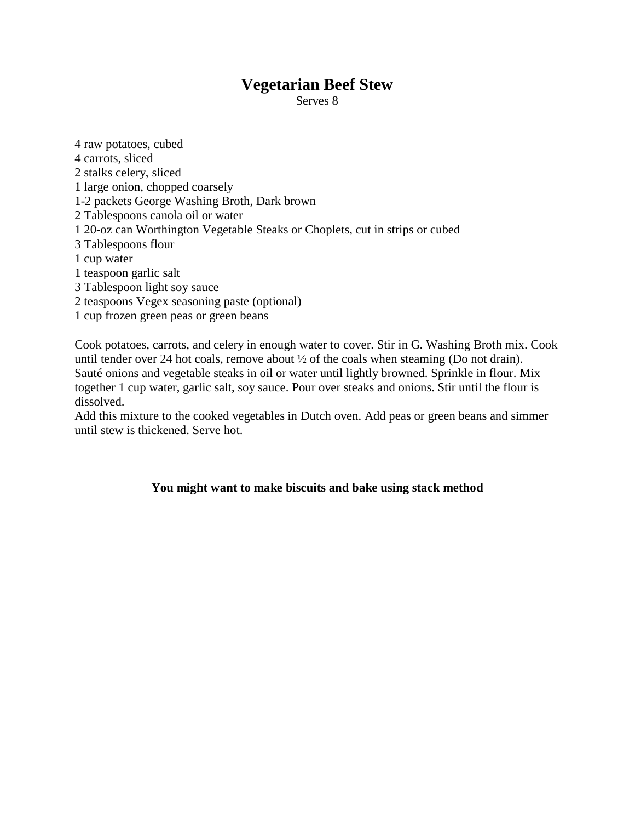### **Vegetarian Beef Stew**

Serves 8

4 raw potatoes, cubed 4 carrots, sliced 2 stalks celery, sliced 1 large onion, chopped coarsely 1-2 packets George Washing Broth, Dark brown 2 Tablespoons canola oil or water 1 20-oz can Worthington Vegetable Steaks or Choplets, cut in strips or cubed 3 Tablespoons flour 1 cup water 1 teaspoon garlic salt 3 Tablespoon light soy sauce 2 teaspoons Vegex seasoning paste (optional) 1 cup frozen green peas or green beans

Cook potatoes, carrots, and celery in enough water to cover. Stir in G. Washing Broth mix. Cook until tender over 24 hot coals, remove about ½ of the coals when steaming (Do not drain). Sauté onions and vegetable steaks in oil or water until lightly browned. Sprinkle in flour. Mix together 1 cup water, garlic salt, soy sauce. Pour over steaks and onions. Stir until the flour is dissolved.

Add this mixture to the cooked vegetables in Dutch oven. Add peas or green beans and simmer until stew is thickened. Serve hot.

#### **You might want to make biscuits and bake using stack method**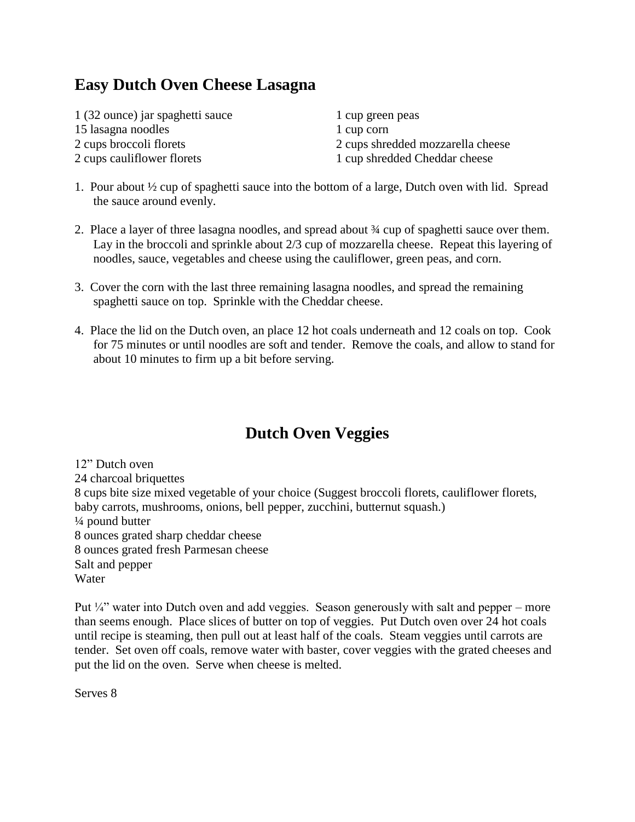## **Easy Dutch Oven Cheese Lasagna**

| 1 (32 ounce) jar spaghetti sauce | 1 cup green peas                  |
|----------------------------------|-----------------------------------|
| 15 lasagna noodles               | 1 cup corn                        |
| 2 cups broccoli florets          | 2 cups shredded mozzarella cheese |
| 2 cups cauliflower florets       | 1 cup shredded Cheddar cheese     |

- 1. Pour about ½ cup of spaghetti sauce into the bottom of a large, Dutch oven with lid. Spread the sauce around evenly.
- 2. Place a layer of three lasagna noodles, and spread about ¾ cup of spaghetti sauce over them. Lay in the broccoli and sprinkle about 2/3 cup of mozzarella cheese. Repeat this layering of noodles, sauce, vegetables and cheese using the cauliflower, green peas, and corn.
- 3. Cover the corn with the last three remaining lasagna noodles, and spread the remaining spaghetti sauce on top. Sprinkle with the Cheddar cheese.
- 4. Place the lid on the Dutch oven, an place 12 hot coals underneath and 12 coals on top. Cook for 75 minutes or until noodles are soft and tender. Remove the coals, and allow to stand for about 10 minutes to firm up a bit before serving.

# **Dutch Oven Veggies**

12" Dutch oven 24 charcoal briquettes 8 cups bite size mixed vegetable of your choice (Suggest broccoli florets, cauliflower florets, baby carrots, mushrooms, onions, bell pepper, zucchini, butternut squash.) ¼ pound butter 8 ounces grated sharp cheddar cheese 8 ounces grated fresh Parmesan cheese Salt and pepper Water

Put  $\frac{1}{4}$  water into Dutch oven and add veggies. Season generously with salt and pepper – more than seems enough. Place slices of butter on top of veggies. Put Dutch oven over 24 hot coals until recipe is steaming, then pull out at least half of the coals. Steam veggies until carrots are tender. Set oven off coals, remove water with baster, cover veggies with the grated cheeses and put the lid on the oven. Serve when cheese is melted.

Serves 8